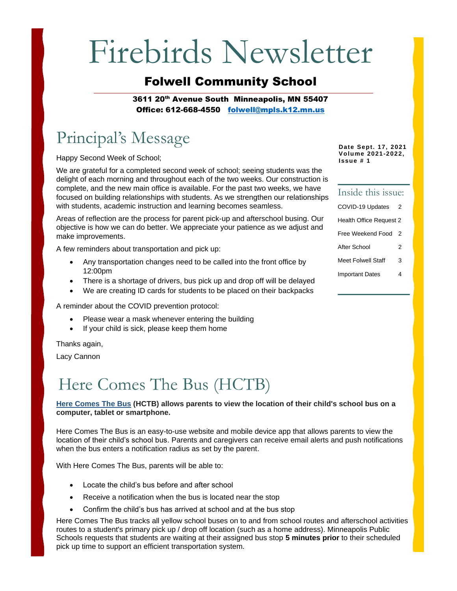# Firebirds Newsletter

### Folwell Community School

3611 20<sup>th</sup> Avenue South Minneapolis, MN 55407 Office: 612-668-4550 [folwell@mpls.k12.mn.us](mailto:folwell@mpls.k12.mn.us)

### Principal's Message

Happy Second Week of School;

We are grateful for a completed second week of school; seeing students was the delight of each morning and throughout each of the two weeks. Our construction is complete, and the new main office is available. For the past two weeks, we have focused on building relationships with students. As we strengthen our relationships with students, academic instruction and learning becomes seamless.

Areas of reflection are the process for parent pick-up and afterschool busing. Our objective is how we can do better. We appreciate your patience as we adjust and make improvements.

A few reminders about transportation and pick up:

- Any transportation changes need to be called into the front office by 12:00pm
- There is a shortage of drivers, bus pick up and drop off will be delayed
- We are creating ID cards for students to be placed on their backpacks

A reminder about the COVID prevention protocol:

- Please wear a mask whenever entering the building
- If your child is sick, please keep them home

Thanks again,

Lacy Cannon

### Here Comes The Bus (HCTB)

#### **[Here Comes The Bus](https://herecomesthebus.com/) (HCTB) allows parents to view the location of their child's school bus on a computer, tablet or smartphone.**

Here Comes The Bus is an easy-to-use website and mobile device app that allows parents to view the location of their child's school bus. Parents and caregivers can receive email alerts and push notifications when the bus enters a notification radius as set by the parent.

With Here Comes The Bus, parents will be able to:

- Locate the child's bus before and after school
- Receive a notification when the bus is located near the stop
- Confirm the child's bus has arrived at school and at the bus stop

Here Comes The Bus tracks all yellow school buses on to and from school routes and afterschool activities routes to a student's primary pick up / drop off location (such as a home address). Minneapolis Public Schools requests that students are waiting at their assigned bus stop **5 minutes prior** to their scheduled pick up time to support an efficient transportation system.

**Date Sept. 17, 2021 Volume 2021-2022, Issue # 1**

### Inside this issue: COVID-19 Updates Health Office Request 2 Free Weekend Food 2 After School 2 Meet Folwell Staff 3 Important Dates 4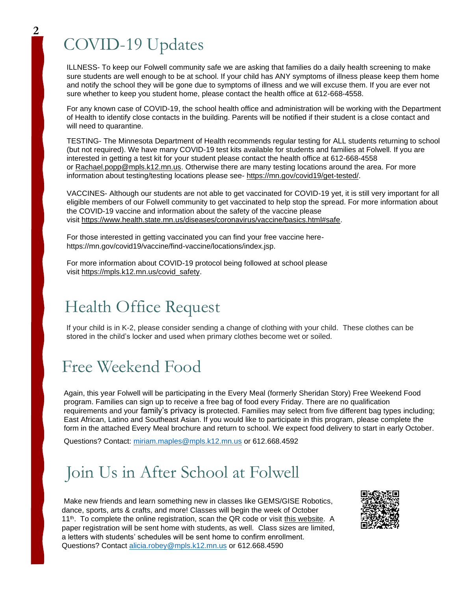### COVID-19 Updates

ILLNESS- To keep our Folwell community safe we are asking that families do a daily health screening to make sure students are well enough to be at school. If your child has ANY symptoms of illness please keep them home and notify the school they will be gone due to symptoms of illness and we will excuse them. If you are ever not sure whether to keep you student home, please contact the health office at 612-668-4558.

For any known case of COVID-19, the school health office and administration will be working with the Department of Health to identify close contacts in the building. Parents will be notified if their student is a close contact and will need to quarantine.

TESTING- The Minnesota Department of Health recommends regular testing for ALL students returning to school (but not required). We have many COVID-19 test kits available for students and families at Folwell. If you are interested in getting a test kit for your student please contact the health office at 612-668-4558 or [Rachael.popp@mpls.k12.mn.us.](mailto:Rachael.popp@mpls.k12.mn.us) Otherwise there are many testing locations around the area. For more information about testing/testing locations please see- [https://mn.gov/covid19/get-tested/.](https://mn.gov/covid19/get-tested/)

VACCINES- Although our students are not able to get vaccinated for COVID-19 yet, it is still very important for all eligible members of our Folwell community to get vaccinated to help stop the spread. For more information about the COVID-19 vaccine and information about the safety of the vaccine please visit [https://www.health.state.mn.us/diseases/coronavirus/vaccine/basics.html#safe.](https://www.health.state.mn.us/diseases/coronavirus/vaccine/basics.html#safe)

For those interested in getting vaccinated you can find your free vaccine herehttps://mn.gov/covid19/vaccine/find-vaccine/locations/index.jsp.

For more information about COVID-19 protocol being followed at school please visit [https://mpls.k12.mn.us/covid\\_safety.](https://mpls.k12.mn.us/covid_safety)

### Health Office Request

If your child is in K-2, please consider sending a change of clothing with your child. These clothes can be stored in the child's locker and used when primary clothes become wet or soiled.

### Free Weekend Food

Again, this year Folwell will be participating in the Every Meal (formerly Sheridan Story) Free Weekend Food program. Families can sign up to receive a free bag of food every Friday. There are no qualification requirements and your family's privacy is protected. Families may select from five different bag types including; East African, Latino and Southeast Asian. If you would like to participate in this program, please complete the form in the attached Every Meal brochure and return to school. We expect food delivery to start in early October.

Questions? Contact: [miriam.maples@mpls.k12.mn.us](mailto:miriam.maples@mpls.k12.mn.us) or 612.668.4592

### Join Us in After School at Folwell

Make new friends and learn something new in classes like GEMS/GISE Robotics, dance, sports, arts & crafts, and more! Classes will begin the week of October 11<sup>th</sup>. To complete the online registration, scan the QR code or visit this [website.](https://forms.gle/4Ys9uYmd6PX3jMkY7) A paper registration will be sent home with students, as well. Class sizes are limited, a letters with students' schedules will be sent home to confirm enrollment. Questions? Contact [alicia.robey@mpls.k12.mn.us](mailto:alicia.robey@mpls.k12.mn.us) or 612.668.4590

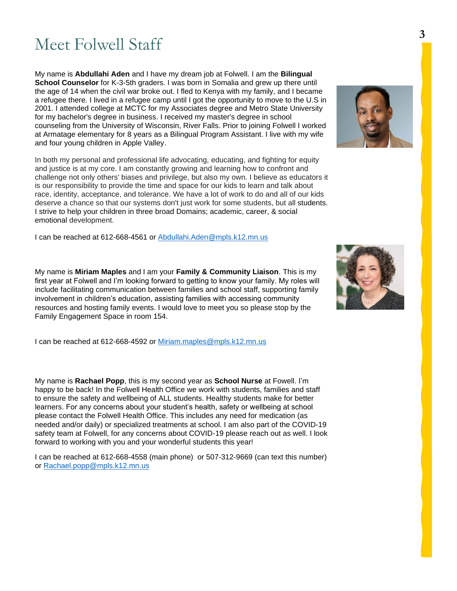### Meet Folwell Staff

My name is **Abdullahi Aden** and I have my dream job at Folwell. I am the **Bilingual School Counselor** for K-3-5th graders. I was born in Somalia and grew up there until the age of 14 when the civil war broke out. I fled to Kenya with my family, and I became a refugee there. I lived in a refugee camp until I got the opportunity to move to the U.S in 2001. I attended college at MCTC for my Associates degree and Metro State University for my bachelor's degree in business. I received my master's degree in school counseling from the University of Wisconsin, River Falls. Prior to joining Folwell I worked at Armatage elementary for 8 years as a Bilingual Program Assistant. I live with my wife and four young children in Apple Valley.

In both my personal and professional life advocating, educating, and fighting for equity and justice is at my core. I am constantly growing and learning how to confront and challenge not only others' biases and privilege, but also my own. I believe as educators it is our responsibility to provide the time and space for our kids to learn and talk about race, identity, acceptance, and tolerance. We have a lot of work to do and all of our kids deserve a chance so that our systems don't just work for some students, but all students. I strive to help your children in three broad Domains; academic, career, & social emotional development.

I can be reached at 612-668-4561 or [Abdullahi.Aden@mpls.k12.mn.us](mailto:Abdullahi.Aden@mpls.k12.mn.us)

My name is **Miriam Maples** and I am your **Family & Community Liaison**. This is my first year at Folwell and I'm looking forward to getting to know your family. My roles will include facilitating communication between families and school staff, supporting family involvement in children's education, assisting families with accessing community resources and hosting family events. I would love to meet you so please stop by the Family Engagement Space in room 154.

I can be reached at 612-668-4592 or [Miriam.maples@mpls.k12.mn.us](mailto:Miriam.maples@mpls.k12.mn.us)

My name is **Rachael Popp**, this is my second year as **School Nurse** at Fowell. I'm happy to be back! In the Folwell Health Office we work with students, families and staff to ensure the safety and wellbeing of ALL students. Healthy students make for better learners. For any concerns about your student's health, safety or wellbeing at school please contact the Folwell Health Office. This includes any need for medication (as needed and/or daily) or specialized treatments at school. I am also part of the COVID-19 safety team at Folwell, for any concerns about COVID-19 please reach out as well. I look forward to working with you and your wonderful students this year!

I can be reached at 612-668-4558 (main phone) or 507-312-9669 (can text this number) or [Rachael.popp@mpls.k12.mn.us](mailto:Rachael.popp@mpls.k12.mn.us)